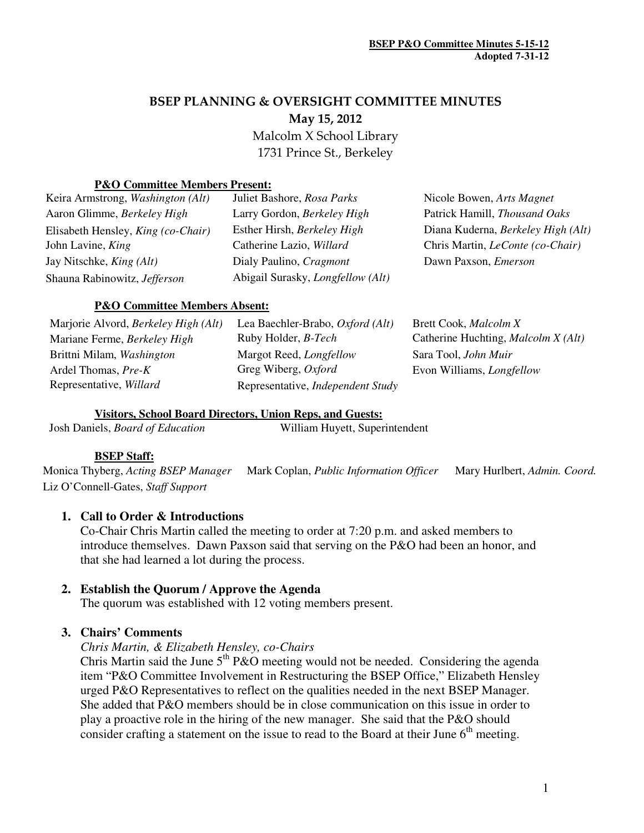# BSEP PLANNING & OVERSIGHT COMMITTEE MINUTES May 15, 2012

 Malcolm X School Library 1731 Prince St., Berkeley

#### **P&O Committee Members Present:**

| Keira Armstrong, Washington (Alt)         | Juliet Bashore, Rosa Parks               | Nicole Bowen, Arts Magnet               |
|-------------------------------------------|------------------------------------------|-----------------------------------------|
| Aaron Glimme, Berkeley High               | Larry Gordon, Berkeley High              | Patrick Hamill, Thousand Oaks           |
| Elisabeth Hensley, <i>King (co-Chair)</i> | Esther Hirsh, Berkeley High              | Diana Kuderna, Berkeley High (Alt)      |
| John Lavine, King                         | Catherine Lazio, Willard                 | Chris Martin, <i>LeConte</i> (co-Chair) |
| Jay Nitschke, <i>King (Alt)</i>           | Dialy Paulino, Cragmont                  | Dawn Paxson, <i>Emerson</i>             |
| Shauna Rabinowitz, Jefferson              | Abigail Surasky, <i>Longfellow</i> (Alt) |                                         |
|                                           |                                          |                                         |

#### **P&O Committee Members Absent:**

| Marjorie Alvord, <i>Berkeley High</i> ( <i>Alt</i> ) | Lea Baechler-Brabo, Oxford (Alt)         | Brett Cook, Malcolm X                      |
|------------------------------------------------------|------------------------------------------|--------------------------------------------|
| Mariane Ferme, Berkeley High                         | Ruby Holder, <i>B-Tech</i>               | Catherine Huchting, <i>Malcolm X (Alt)</i> |
| Brittni Milam, Washington                            | Margot Reed, <i>Longfellow</i>           | Sara Tool, John Muir                       |
| Ardel Thomas, Pre-K                                  | Greg Wiberg, Oxford                      | Evon Williams, <i>Longfellow</i>           |
| Representative, Willard                              | Representative, <i>Independent Study</i> |                                            |

### **Visitors, School Board Directors, Union Reps, and Guests:**

#### **BSEP Staff:**

Monica Thyberg, *Acting BSEP Manager* Mark Coplan, *Public Information Officer* Mary Hurlbert, *Admin. Coord.*  Liz O'Connell-Gates, *Staff Support*

#### **1. Call to Order & Introductions**

Co-Chair Chris Martin called the meeting to order at 7:20 p.m. and asked members to introduce themselves. Dawn Paxson said that serving on the P&O had been an honor, and that she had learned a lot during the process.

#### **2. Establish the Quorum / Approve the Agenda**

The quorum was established with 12 voting members present.

#### **3. Chairs' Comments**

#### *Chris Martin, & Elizabeth Hensley, co-Chairs*

Chris Martin said the June  $5<sup>th</sup> P&O$  meeting would not be needed. Considering the agenda item "P&O Committee Involvement in Restructuring the BSEP Office," Elizabeth Hensley urged P&O Representatives to reflect on the qualities needed in the next BSEP Manager. She added that P&O members should be in close communication on this issue in order to play a proactive role in the hiring of the new manager. She said that the P&O should consider crafting a statement on the issue to read to the Board at their June  $6<sup>th</sup>$  meeting.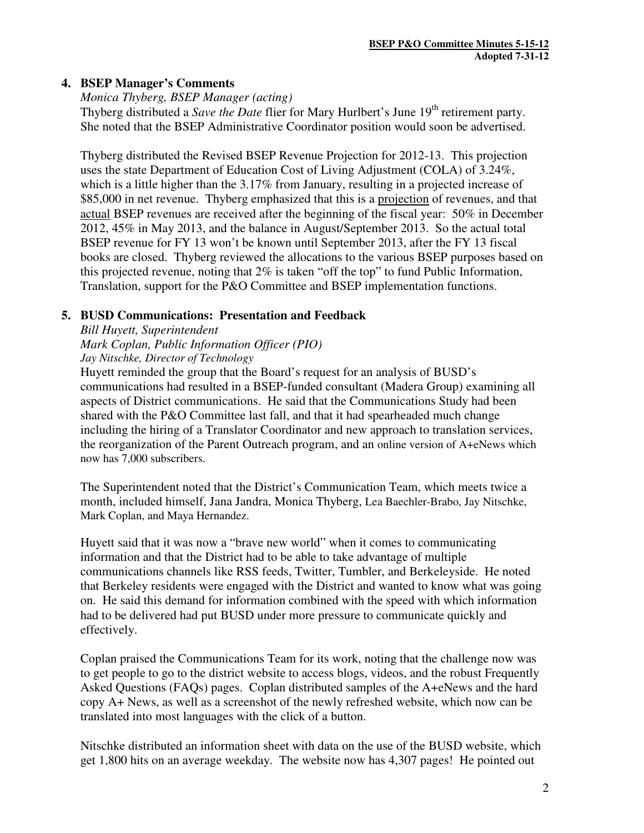## **4. BSEP Manager's Comments**

*Monica Thyberg, BSEP Manager (acting)* 

Thyberg distributed a *Save the Date* flier for Mary Hurlbert's June 19<sup>th</sup> retirement party. She noted that the BSEP Administrative Coordinator position would soon be advertised.

Thyberg distributed the Revised BSEP Revenue Projection for 2012-13. This projection uses the state Department of Education Cost of Living Adjustment (COLA) of 3.24%, which is a little higher than the 3.17% from January, resulting in a projected increase of \$85,000 in net revenue. Thyberg emphasized that this is a projection of revenues, and that actual BSEP revenues are received after the beginning of the fiscal year: 50% in December 2012, 45% in May 2013, and the balance in August/September 2013. So the actual total BSEP revenue for FY 13 won't be known until September 2013, after the FY 13 fiscal books are closed. Thyberg reviewed the allocations to the various BSEP purposes based on this projected revenue, noting that 2% is taken "off the top" to fund Public Information, Translation, support for the P&O Committee and BSEP implementation functions.

## **5. BUSD Communications: Presentation and Feedback**

*Bill Huyett, Superintendent* 

*Mark Coplan, Public Information Officer (PIO)* 

*Jay Nitschke, Director of Technology* 

Huyett reminded the group that the Board's request for an analysis of BUSD's communications had resulted in a BSEP-funded consultant (Madera Group) examining all aspects of District communications. He said that the Communications Study had been shared with the P&O Committee last fall, and that it had spearheaded much change including the hiring of a Translator Coordinator and new approach to translation services, the reorganization of the Parent Outreach program, and an online version of A+eNews which now has 7,000 subscribers.

The Superintendent noted that the District's Communication Team, which meets twice a month, included himself, Jana Jandra, Monica Thyberg, Lea Baechler-Brabo, Jay Nitschke, Mark Coplan, and Maya Hernandez.

Huyett said that it was now a "brave new world" when it comes to communicating information and that the District had to be able to take advantage of multiple communications channels like RSS feeds, Twitter, Tumbler, and Berkeleyside. He noted that Berkeley residents were engaged with the District and wanted to know what was going on. He said this demand for information combined with the speed with which information had to be delivered had put BUSD under more pressure to communicate quickly and effectively.

Coplan praised the Communications Team for its work, noting that the challenge now was to get people to go to the district website to access blogs, videos, and the robust Frequently Asked Questions (FAQs) pages. Coplan distributed samples of the A+eNews and the hard copy A+ News, as well as a screenshot of the newly refreshed website, which now can be translated into most languages with the click of a button.

Nitschke distributed an information sheet with data on the use of the BUSD website, which get 1,800 hits on an average weekday. The website now has 4,307 pages! He pointed out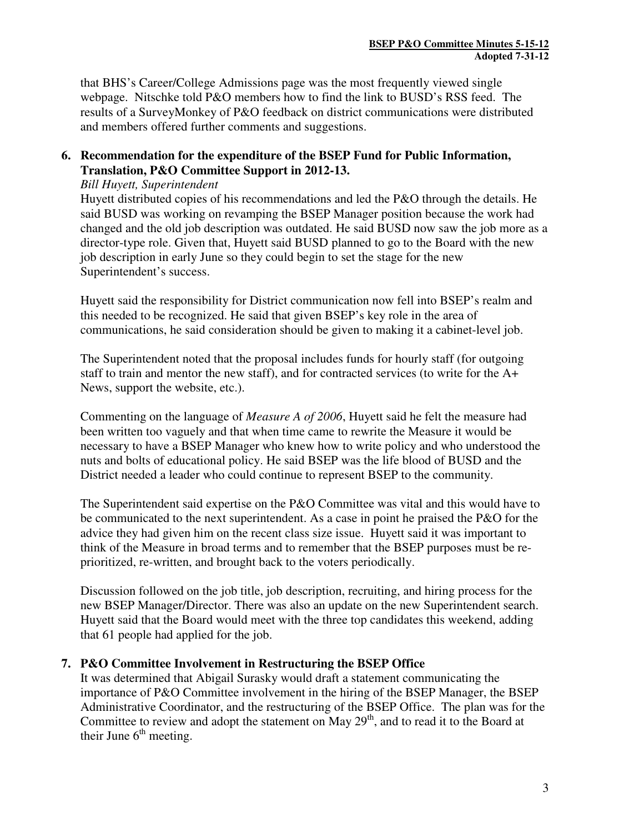that BHS's Career/College Admissions page was the most frequently viewed single webpage. Nitschke told P&O members how to find the link to BUSD's RSS feed. The results of a SurveyMonkey of P&O feedback on district communications were distributed and members offered further comments and suggestions.

## **6. Recommendation for the expenditure of the BSEP Fund for Public Information, Translation, P&O Committee Support in 2012-13.**

#### *Bill Huyett, Superintendent*

Huyett distributed copies of his recommendations and led the P&O through the details. He said BUSD was working on revamping the BSEP Manager position because the work had changed and the old job description was outdated. He said BUSD now saw the job more as a director-type role. Given that, Huyett said BUSD planned to go to the Board with the new job description in early June so they could begin to set the stage for the new Superintendent's success.

Huyett said the responsibility for District communication now fell into BSEP's realm and this needed to be recognized. He said that given BSEP's key role in the area of communications, he said consideration should be given to making it a cabinet-level job.

The Superintendent noted that the proposal includes funds for hourly staff (for outgoing staff to train and mentor the new staff), and for contracted services (to write for the A+ News, support the website, etc.).

Commenting on the language of *Measure A of 2006*, Huyett said he felt the measure had been written too vaguely and that when time came to rewrite the Measure it would be necessary to have a BSEP Manager who knew how to write policy and who understood the nuts and bolts of educational policy. He said BSEP was the life blood of BUSD and the District needed a leader who could continue to represent BSEP to the community.

The Superintendent said expertise on the P&O Committee was vital and this would have to be communicated to the next superintendent. As a case in point he praised the P&O for the advice they had given him on the recent class size issue. Huyett said it was important to think of the Measure in broad terms and to remember that the BSEP purposes must be reprioritized, re-written, and brought back to the voters periodically.

Discussion followed on the job title, job description, recruiting, and hiring process for the new BSEP Manager/Director. There was also an update on the new Superintendent search. Huyett said that the Board would meet with the three top candidates this weekend, adding that 61 people had applied for the job.

## **7. P&O Committee Involvement in Restructuring the BSEP Office**

It was determined that Abigail Surasky would draft a statement communicating the importance of P&O Committee involvement in the hiring of the BSEP Manager, the BSEP Administrative Coordinator, and the restructuring of the BSEP Office. The plan was for the Committee to review and adopt the statement on May  $29<sup>th</sup>$ , and to read it to the Board at their June  $6<sup>th</sup>$  meeting.